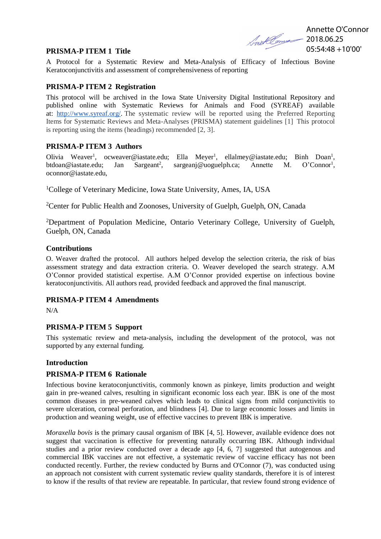Annette O'Connor **2018.06.25** 05:54:48 +10'00'

#### **PRISMA-P ITEM 1 Title**

A Protocol for a Systematic Review and Meta-Analysis of Efficacy of Infectious Bovine Keratoconjunctivitis and assessment of comprehensiveness of reporting

#### **PRISMA-P ITEM 2 Registration**

This protocol will be archived in the Iowa State University Digital Institutional Repository and published online with Systematic Reviews for Animals and Food (SYREAF) available at: [http://www.syreaf.org/.](http://www.syreaf.org/) The systematic review will be reported using the Preferred Reporting Items for Systematic Reviews and Meta-Analyses (PRISMA) statement guidelines [1] This protocol is reporting using the items (headings) recommended [2, 3].

#### **PRISMA-P ITEM 3 Authors**

Olivia Weaver<sup>1</sup>, ocweaver@iastate.edu; Ella Meyer<sup>1</sup>, ellalmey@iastate.edu; Binh Doan<sup>1</sup>, btdoan@iastate.edu; Jan Sargeant<sup>2</sup>,  $sargean$ j@uoguelph.ca; Annette M.  $O^{\prime}$ Connor<sup>1</sup>, oconnor@iastate.edu,

<sup>1</sup>College of Veterinary Medicine, Iowa State University, Ames, IA, USA

<sup>2</sup>Center for Public Health and Zoonoses, University of Guelph, Guelph, ON, Canada

<sup>2</sup>Department of Population Medicine, Ontario Veterinary College, University of Guelph, Guelph, ON, Canada

#### **Contributions**

O. Weaver drafted the protocol. All authors helped develop the selection criteria, the risk of bias assessment strategy and data extraction criteria. O. Weaver developed the search strategy. A.M O'Connor provided statistical expertise. A.M O'Connor provided expertise on infectious bovine keratoconjunctivitis. All authors read, provided feedback and approved the final manuscript.

#### **PRISMA-P ITEM 4 Amendments**

N/A

#### **PRISMA-P ITEM 5 Support**

This systematic review and meta-analysis, including the development of the protocol, was not supported by any external funding.

#### **Introduction**

### **PRISMA-P ITEM 6 Rationale**

Infectious bovine keratoconjunctivitis, commonly known as pinkeye, limits production and weight gain in pre-weaned calves, resulting in significant economic loss each year. IBK is one of the most common diseases in pre-weaned calves which leads to clinical signs from mild conjunctivitis to severe ulceration, corneal perforation, and blindness [4]. Due to large economic losses and limits in production and weaning weight, use of effective vaccines to prevent IBK is imperative.

*Moraxella bovis* is the primary causal organism of IBK [4, 5]. However, available evidence does not suggest that vaccination is effective for preventing naturally occurring IBK. Although individual studies and a prior review conducted over a decade ago [4, 6, 7] suggested that autogenous and commercial IBK vaccines are not effective, a systematic review of vaccine efficacy has not been conducted recently. Further, the review conducted by Burns and O'Connor (7), was conducted using an approach not consistent with current systematic review quality standards, therefore it is of interest to know if the results of that review are repeatable. In particular, that review found strong evidence of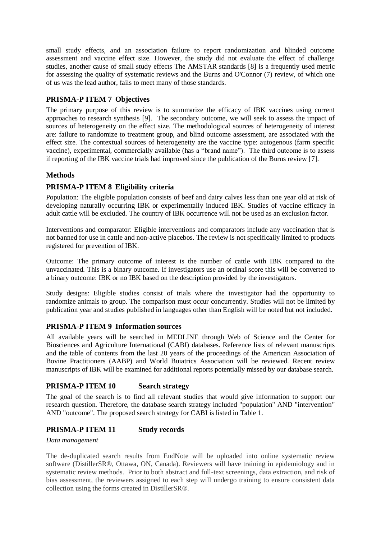small study effects, and an association failure to report randomization and blinded outcome assessment and vaccine effect size. However, the study did not evaluate the effect of challenge studies, another cause of small study effects The AMSTAR standards [8] is a frequently used metric for assessing the quality of systematic reviews and the Burns and O'Connor (7) review, of which one of us was the lead author, fails to meet many of those standards.

## **PRISMA-P ITEM 7 Objectives**

The primary purpose of this review is to summarize the efficacy of IBK vaccines using current approaches to research synthesis [9]. The secondary outcome, we will seek to assess the impact of sources of heterogeneity on the effect size. The methodological sources of heterogeneity of interest are: failure to randomize to treatment group, and blind outcome assessment, are associated with the effect size. The contextual sources of heterogeneity are the vaccine type: autogenous (farm specific vaccine), experimental, commercially available (has a "brand name"). The third outcome is to assess if reporting of the IBK vaccine trials had improved since the publication of the Burns review [7].

### **Methods**

# **PRISMA-P ITEM 8 Eligibility criteria**

Population: The eligible population consists of beef and dairy calves less than one year old at risk of developing naturally occurring IBK or experimentally induced IBK. Studies of vaccine efficacy in adult cattle will be excluded. The country of IBK occurrence will not be used as an exclusion factor.

Interventions and comparator: Eligible interventions and comparators include any vaccination that is not banned for use in cattle and non-active placebos. The review is not specifically limited to products registered for prevention of IBK.

Outcome: The primary outcome of interest is the number of cattle with IBK compared to the unvaccinated. This is a binary outcome. If investigators use an ordinal score this will be converted to a binary outcome: IBK or no IBK based on the description provided by the investigators.

Study designs: Eligible studies consist of trials where the investigator had the opportunity to randomize animals to group. The comparison must occur concurrently. Studies will not be limited by publication year and studies published in languages other than English will be noted but not included.

### **PRISMA-P ITEM 9 Information sources**

All available years will be searched in MEDLINE through Web of Science and the Center for Biosciences and Agriculture International (CABI) databases. Reference lists of relevant manuscripts and the table of contents from the last 20 years of the proceedings of the American Association of Bovine Practitioners (AABP) and World Buiatrics Association will be reviewed. Recent review manuscripts of IBK will be examined for additional reports potentially missed by our database search.

### **PRISMA-P ITEM 10 Search strategy**

The goal of the search is to find all relevant studies that would give information to support our research question. Therefore, the database search strategy included "population" AND "intervention" AND "outcome". The proposed search strategy for CABI is listed in Table 1.

### **PRISMA-P ITEM 11 Study records**

#### *Data management*

The de-duplicated search results from EndNote will be uploaded into online systematic review software (DistillerSR®, Ottawa, ON, Canada). Reviewers will have training in epidemiology and in systematic review methods. Prior to both abstract and full-text screenings, data extraction, and risk of bias assessment, the reviewers assigned to each step will undergo training to ensure consistent data collection using the forms created in DistillerSR®.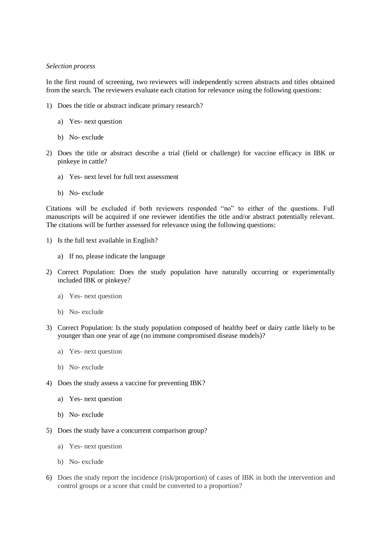#### *Selection process*

In the first round of screening, two reviewers will independently screen abstracts and titles obtained from the search. The reviewers evaluate each citation for relevance using the following questions:

- 1) Does the title or abstract indicate primary research?
	- a) Yes- next question
	- b) No- exclude
- 2) Does the title or abstract describe a trial (field or challenge) for vaccine efficacy in IBK or pinkeye in cattle?
	- a) Yes- next level for full text assessment
	- b) No- exclude

Citations will be excluded if both reviewers responded "no" to either of the questions. Full manuscripts will be acquired if one reviewer identifies the title and/or abstract potentially relevant. The citations will be further assessed for relevance using the following questions:

- 1) Is the full text available in English?
	- a) If no, please indicate the language
- 2) Correct Population: Does the study population have naturally occurring or experimentally included IBK or pinkeye?
	- a) Yes- next question
	- b) No- exclude
- 3) Correct Population: Is the study population composed of healthy beef or dairy cattle likely to be younger than one year of age (no immune compromised disease models)?
	- a) Yes- next question
	- b) No- exclude
- 4) Does the study assess a vaccine for preventing IBK?
	- a) Yes- next question
	- b) No- exclude
- 5) Does the study have a concurrent comparison group?
	- a) Yes- next question
	- b) No- exclude
- 6) Does the study report the incidence (risk/proportion) of cases of IBK in both the intervention and control groups or a score that could be converted to a proportion?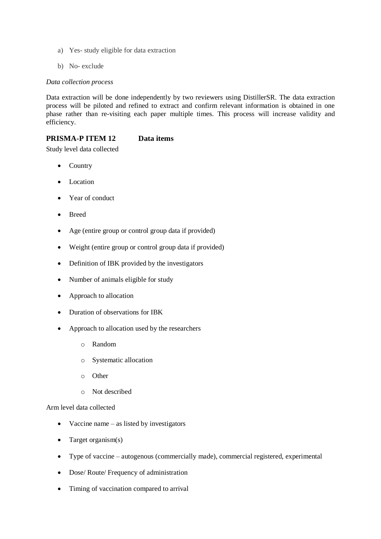- a) Yes- study eligible for data extraction
- b) No- exclude

#### *Data collection process*

Data extraction will be done independently by two reviewers using DistillerSR. The data extraction process will be piloted and refined to extract and confirm relevant information is obtained in one phase rather than re-visiting each paper multiple times. This process will increase validity and efficiency.

## **PRISMA-P ITEM 12 Data items**

Study level data collected

- Country
- Location
- Year of conduct
- Breed
- Age (entire group or control group data if provided)
- Weight (entire group or control group data if provided)
- Definition of IBK provided by the investigators
- Number of animals eligible for study
- Approach to allocation
- Duration of observations for IBK
- Approach to allocation used by the researchers
	- o Random
	- o Systematic allocation
	- o Other
	- o Not described

### Arm level data collected

- Vaccine name as listed by investigators
- Target organism(s)
- Type of vaccine autogenous (commercially made), commercial registered, experimental
- Dose/ Route/ Frequency of administration
- Timing of vaccination compared to arrival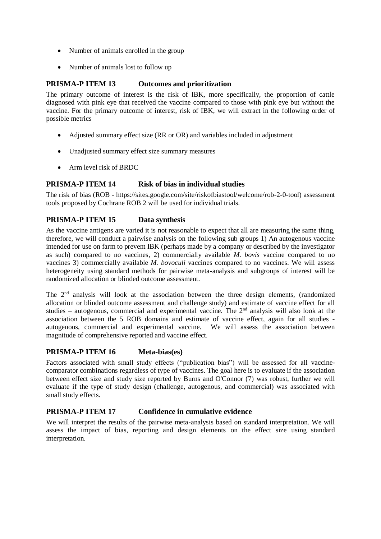- Number of animals enrolled in the group
- Number of animals lost to follow up

### **PRISMA-P ITEM 13 Outcomes and prioritization**

The primary outcome of interest is the risk of IBK, more specifically, the proportion of cattle diagnosed with pink eye that received the vaccine compared to those with pink eye but without the vaccine. For the primary outcome of interest, risk of IBK, we will extract in the following order of possible metrics

- Adjusted summary effect size (RR or OR) and variables included in adjustment
- Unadjusted summary effect size summary measures
- Arm level risk of BRDC

### **PRISMA-P ITEM 14 Risk of bias in individual studies**

The risk of bias (ROB - [https://sites.google.com/site/riskofbiastool/welcome/rob-2-0-tool\)](https://sites.google.com/site/riskofbiastool/welcome/rob-2-0-tool) assessment tools proposed by Cochrane ROB 2 will be used for individual trials.

# **PRISMA-P ITEM 15 Data synthesis**

As the vaccine antigens are varied it is not reasonable to expect that all are measuring the same thing, therefore, we will conduct a pairwise analysis on the following sub groups 1) An autogenous vaccine intended for use on farm to prevent IBK (perhaps made by a company or described by the investigator as such) compared to no vaccines, 2) commercially available *M. bovis* vaccine compared to no vaccines 3) commercially available *M. bovoculi* vaccines compared to no vaccines. We will assess heterogeneity using standard methods for pairwise meta-analysis and subgroups of interest will be randomized allocation or blinded outcome assessment.

The 2nd analysis will look at the association between the three design elements, (randomized allocation or blinded outcome assessment and challenge study) and estimate of vaccine effect for all studies – autogenous, commercial and experimental vaccine. The  $2<sup>nd</sup>$  analysis will also look at the association between the 5 ROB domains and estimate of vaccine effect, again for all studies autogenous, commercial and experimental vaccine. We will assess the association between magnitude of comprehensive reported and vaccine effect.

### **PRISMA-P ITEM 16 Meta-bias(es)**

Factors associated with small study effects ("publication bias") will be assessed for all vaccinecomparator combinations regardless of type of vaccines. The goal here is to evaluate if the association between effect size and study size reported by Burns and O'Connor (7) was robust, further we will evaluate if the type of study design (challenge, autogenous, and commercial) was associated with small study effects.

### **PRISMA-P ITEM 17 Confidence in cumulative evidence**

We will interpret the results of the pairwise meta-analysis based on standard interpretation. We will assess the impact of bias, reporting and design elements on the effect size using standard interpretation.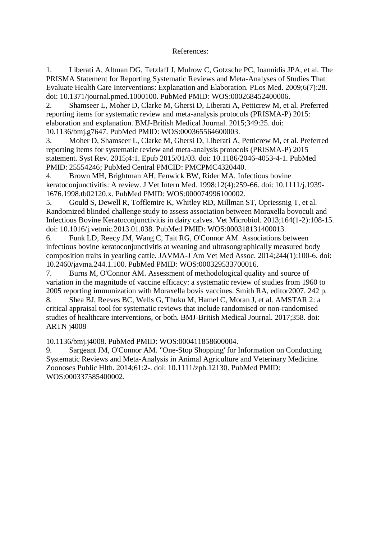## References:

1. Liberati A, Altman DG, Tetzlaff J, Mulrow C, Gotzsche PC, Ioannidis JPA, et al. The PRISMA Statement for Reporting Systematic Reviews and Meta-Analyses of Studies That Evaluate Health Care Interventions: Explanation and Elaboration. PLos Med. 2009;6(7):28. doi: 10.1371/journal.pmed.1000100. PubMed PMID: WOS:000268452400006.

2. Shamseer L, Moher D, Clarke M, Ghersi D, Liberati A, Petticrew M, et al. Preferred reporting items for systematic review and meta-analysis protocols (PRISMA-P) 2015: elaboration and explanation. BMJ-British Medical Journal. 2015;349:25. doi: 10.1136/bmj.g7647. PubMed PMID: WOS:000365564600003.

3. Moher D, Shamseer L, Clarke M, Ghersi D, Liberati A, Petticrew M, et al. Preferred reporting items for systematic review and meta-analysis protocols (PRISMA-P) 2015 statement. Syst Rev. 2015;4:1. Epub 2015/01/03. doi: 10.1186/2046-4053-4-1. PubMed PMID: 25554246; PubMed Central PMCID: PMCPMC4320440.

4. Brown MH, Brightman AH, Fenwick BW, Rider MA. Infectious bovine keratoconjunctivitis: A review. J Vet Intern Med. 1998;12(4):259-66. doi: 10.1111/j.1939- 1676.1998.tb02120.x. PubMed PMID: WOS:000074996100002.

5. Gould S, Dewell R, Tofflemire K, Whitley RD, Millman ST, Opriessnig T, et al. Randomized blinded challenge study to assess association between Moraxella bovoculi and Infectious Bovine Keratoconjunctivitis in dairy calves. Vet Microbiol. 2013;164(1-2):108-15. doi: 10.1016/j.vetmic.2013.01.038. PubMed PMID: WOS:000318131400013.

6. Funk LD, Reecy JM, Wang C, Tait RG, O'Connor AM. Associations between infectious bovine keratoconjunctivitis at weaning and ultrasongraphically measured body composition traits in yearling cattle. JAVMA-J Am Vet Med Assoc. 2014;244(1):100-6. doi: 10.2460/javma.244.1.100. PubMed PMID: WOS:000329533700016.

7. Burns M, O'Connor AM. Assessment of methodological quality and source of variation in the magnitude of vaccine efficacy: a systematic review of studies from 1960 to 2005 reporting immunization with Moraxella bovis vaccines. Smith RA, editor2007. 242 p.

8. Shea BJ, Reeves BC, Wells G, Thuku M, Hamel C, Moran J, et al. AMSTAR 2: a critical appraisal tool for systematic reviews that include randomised or non-randomised studies of healthcare interventions, or both. BMJ-British Medical Journal. 2017;358. doi: ARTN j4008

10.1136/bmj.j4008. PubMed PMID: WOS:000411858600004.

9. Sargeant JM, O'Connor AM. "One-Stop Shopping' for Information on Conducting Systematic Reviews and Meta-Analysis in Animal Agriculture and Veterinary Medicine. Zoonoses Public Hlth. 2014;61:2-. doi: 10.1111/zph.12130. PubMed PMID: WOS:000337585400002.